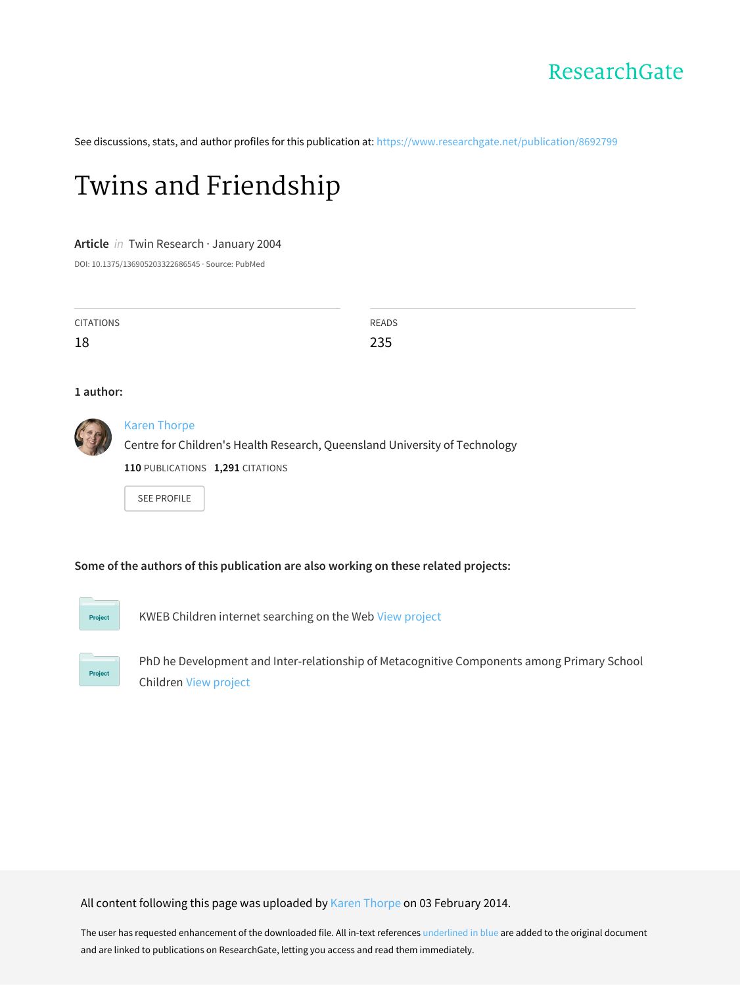

See discussions, stats, and author profiles for this publication at: [https://www.researchgate.net/publication/8692799](https://www.researchgate.net/publication/8692799_Twins_and_Friendship?enrichId=rgreq-668d95b0f89fe0627be3b5df756f1d1d-XXX&enrichSource=Y292ZXJQYWdlOzg2OTI3OTk7QVM6OTkxMzI5MzcwODA4NDBAMTQwMDY0NjU0MjM2NQ%3D%3D&el=1_x_2&_esc=publicationCoverPdf)

# Twins and [Friendship](https://www.researchgate.net/publication/8692799_Twins_and_Friendship?enrichId=rgreq-668d95b0f89fe0627be3b5df756f1d1d-XXX&enrichSource=Y292ZXJQYWdlOzg2OTI3OTk7QVM6OTkxMzI5MzcwODA4NDBAMTQwMDY0NjU0MjM2NQ%3D%3D&el=1_x_3&_esc=publicationCoverPdf)

#### **Article** in Twin Research · January 2004

DOI: 10.1375/136905203322686545 · Source: PubMed

| <b>CITATIONS</b> | <b>READS</b> |
|------------------|--------------|
| 18               | 235          |

#### **1 author:**



## Karen [Thorpe](https://www.researchgate.net/profile/Karen_Thorpe?enrichId=rgreq-668d95b0f89fe0627be3b5df756f1d1d-XXX&enrichSource=Y292ZXJQYWdlOzg2OTI3OTk7QVM6OTkxMzI5MzcwODA4NDBAMTQwMDY0NjU0MjM2NQ%3D%3D&el=1_x_5&_esc=publicationCoverPdf)

Centre for Children's Health Research, Queensland University of Technology **110** PUBLICATIONS **1,291** CITATIONS

SEE [PROFILE](https://www.researchgate.net/profile/Karen_Thorpe?enrichId=rgreq-668d95b0f89fe0627be3b5df756f1d1d-XXX&enrichSource=Y292ZXJQYWdlOzg2OTI3OTk7QVM6OTkxMzI5MzcwODA4NDBAMTQwMDY0NjU0MjM2NQ%3D%3D&el=1_x_7&_esc=publicationCoverPdf)

# **Some of the authors of this publication are also working on these related projects:**



KWEB Children internet searching on the Web View [project](https://www.researchgate.net/project/KWEB-Children-internet-searching-on-the-Web?enrichId=rgreq-668d95b0f89fe0627be3b5df756f1d1d-XXX&enrichSource=Y292ZXJQYWdlOzg2OTI3OTk7QVM6OTkxMzI5MzcwODA4NDBAMTQwMDY0NjU0MjM2NQ%3D%3D&el=1_x_9&_esc=publicationCoverPdf)



PhD he Development and Inter‐relationship of Metacognitive Components among Primary School Children View [project](https://www.researchgate.net/project/PhD-he-Development-and-Inter-relationship-of-Metacognitive-Components-among-Primary-School-Children?enrichId=rgreq-668d95b0f89fe0627be3b5df756f1d1d-XXX&enrichSource=Y292ZXJQYWdlOzg2OTI3OTk7QVM6OTkxMzI5MzcwODA4NDBAMTQwMDY0NjU0MjM2NQ%3D%3D&el=1_x_9&_esc=publicationCoverPdf)

All content following this page was uploaded by Karen [Thorpe](https://www.researchgate.net/profile/Karen_Thorpe?enrichId=rgreq-668d95b0f89fe0627be3b5df756f1d1d-XXX&enrichSource=Y292ZXJQYWdlOzg2OTI3OTk7QVM6OTkxMzI5MzcwODA4NDBAMTQwMDY0NjU0MjM2NQ%3D%3D&el=1_x_10&_esc=publicationCoverPdf) on 03 February 2014.

The user has requested enhancement of the downloaded file. All in-text references underlined in blue are added to the original document and are linked to publications on ResearchGate, letting you access and read them immediately.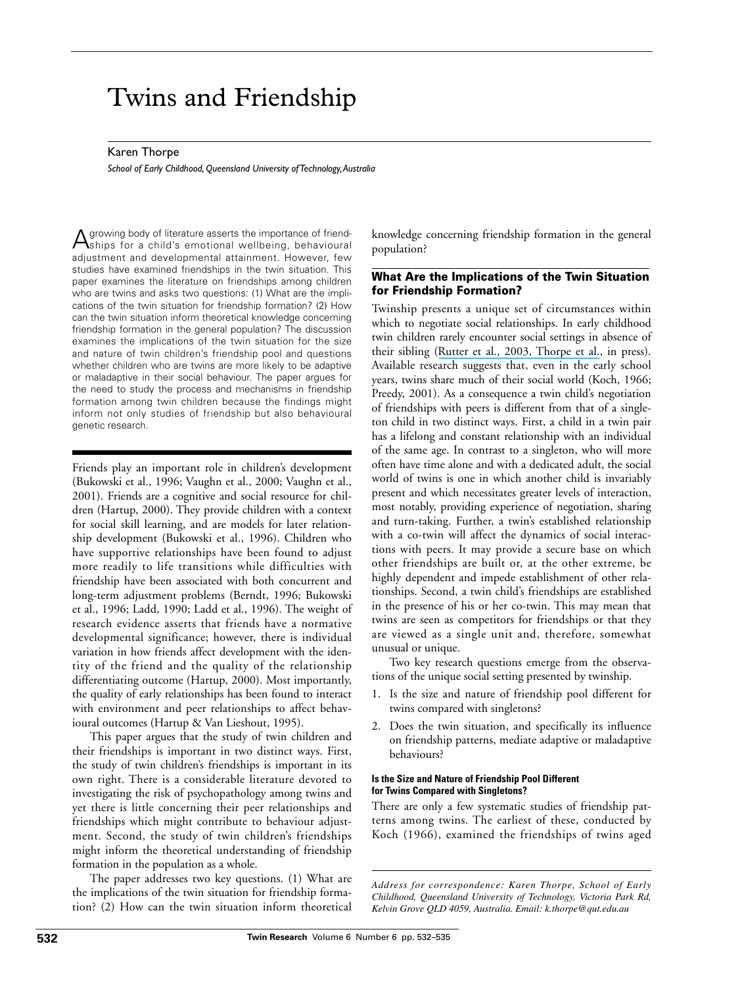# Twins and Friendship

#### Karen Thorpe

*School of Early Childhood, Queensland University of Technology,Australia*

Agrowing body of literature asserts the importance of friend-ships for a child's emotional wellbeing, behavioural adjustment and developmental attainment. However, few studies have examined friendships in the twin situation. This paper examines the literature on friendships among children who are twins and asks two questions: (1) What are the implications of the twin situation for friendship formation? (2) How can the twin situation inform theoretical knowledge concerning friendship formation in the general population? The discussion examines the implications of the twin situation for the size and nature of twin children's friendship pool and questions whether children who are twins are more likely to be adaptive or maladaptive in their social behaviour. The paper argues for the need to study the process and mechanisms in friendship formation among twin children because the findings might inform not only studies of friendship but also behavioural genetic research.

Friends play an important role in children's development (Bukowski et al., 1996; Vaughn et al., 2000; Vaughn et al., 2001). Friends are a cognitive and social resource for children (Hartup, 2000). They provide children with a context for social skill learning, and are models for later relationship development (Bukowski et al., 1996). Children who have supportive relationships have been found to adjust more readily to life transitions while difficulties with friendship have been associated with both concurrent and long-term adjustment problems (Berndt, 1996; Bukowski et al., 1996; Ladd, 1990; Ladd et al., 1996). The weight of research evidence asserts that friends have a normative developmental significance; however, there is individual variation in how friends affect development with the identity of the friend and the quality of the relationship differentiating outcome (Hartup, 2000). Most importantly, the quality of early relationships has been found to interact with environment and peer relationships to affect behavioural outcomes (Hartup & Van Lieshout, 1995).

This paper argues that the study of twin children and their friendships is important in two distinct ways. First, the study of twin children's friendships is important in its own right. There is a considerable literature devoted to investigating the risk of psychopathology among twins and yet there is little concerning their peer relationships and friendships which might contribute to behaviour adjustment. Second, the study of twin children's friendships might inform the theoretical understanding of friendship formation in the population as a whole.

The paper addresses two key questions. (1) What are the implications of the twin situation for friendship formation? (2) How can the twin situation inform theoretical knowledge concerning friendship formation in the general population?

# **What Are the Implications of the Twin Situation for Friendship Formation?**

Twinship presents a unique set of circumstances within which to negotiate social relationships. In early childhood twin children rarely encounter social settings in absence of their sibling ([Rutter et al., 2003, Thorpe et al.](https://www.researchgate.net/publication/10857226_Twins_as_a_natural_experiment_to_study_the_causes_of_mild_language_delay_I_Design_Twin-singleton_differences_in_language_and_obstetric_risks?el=1_x_8&enrichId=rgreq-668d95b0f89fe0627be3b5df756f1d1d-XXX&enrichSource=Y292ZXJQYWdlOzg2OTI3OTk7QVM6OTkxMzI5MzcwODA4NDBAMTQwMDY0NjU0MjM2NQ==), in press). Available research suggests that, even in the early school years, twins share much of their social world (Koch, 1966; Preedy, 2001). As a consequence a twin child's negotiation of friendships with peers is different from that of a singleton child in two distinct ways. First, a child in a twin pair has a lifelong and constant relationship with an individual of the same age. In contrast to a singleton, who will more often have time alone and with a dedicated adult, the social world of twins is one in which another child is invariably present and which necessitates greater levels of interaction, most notably, providing experience of negotiation, sharing and turn-taking. Further, a twin's established relationship with a co-twin will affect the dynamics of social interactions with peers. It may provide a secure base on which other friendships are built or, at the other extreme, be highly dependent and impede establishment of other relationships. Second, a twin child's friendships are established in the presence of his or her co-twin. This may mean that twins are seen as competitors for friendships or that they are viewed as a single unit and, therefore, somewhat unusual or unique.

Two key research questions emerge from the observations of the unique social setting presented by twinship.

- 1. Is the size and nature of friendship pool different for twins compared with singletons?
- 2. Does the twin situation, and specifically its influence on friendship patterns, mediate adaptive or maladaptive behaviours?

#### **Is the Size and Nature of Friendship Pool Different for Twins Compared with Singletons?**

There are only a few systematic studies of friendship patterns among twins. The earliest of these, conducted by Koch (1966), examined the friendships of twins aged

*Address for correspondence: Karen Thorpe, School of Early Childhood, Queensland University of Technology, Victoria Park Rd, Kelvin Grove QLD 4059, Australia. Email: k.thorpe@qut.edu.au*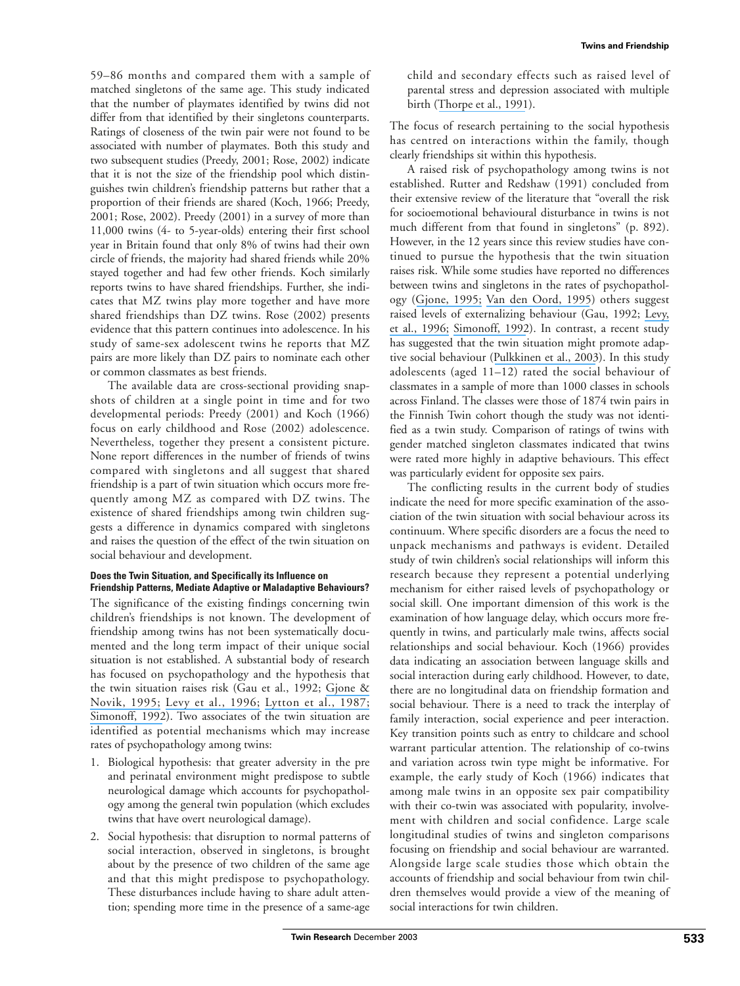59–86 months and compared them with a sample of matched singletons of the same age. This study indicated that the number of playmates identified by twins did not differ from that identified by their singletons counterparts. Ratings of closeness of the twin pair were not found to be associated with number of playmates. Both this study and two subsequent studies (Preedy, 2001; Rose, 2002) indicate that it is not the size of the friendship pool which distinguishes twin children's friendship patterns but rather that a proportion of their friends are shared (Koch, 1966; Preedy, 2001; Rose, 2002). Preedy (2001) in a survey of more than 11,000 twins (4- to 5-year-olds) entering their first school year in Britain found that only 8% of twins had their own circle of friends, the majority had shared friends while 20% stayed together and had few other friends. Koch similarly reports twins to have shared friendships. Further, she indicates that MZ twins play more together and have more shared friendships than DZ twins. Rose (2002) presents evidence that this pattern continues into adolescence. In his study of same-sex adolescent twins he reports that MZ pairs are more likely than DZ pairs to nominate each other or common classmates as best friends.

The available data are cross-sectional providing snapshots of children at a single point in time and for two developmental periods: Preedy (2001) and Koch (1966) focus on early childhood and Rose (2002) adolescence. Nevertheless, together they present a consistent picture. None report differences in the number of friends of twins compared with singletons and all suggest that shared friendship is a part of twin situation which occurs more frequently among MZ as compared with DZ twins. The existence of shared friendships among twin children suggests a difference in dynamics compared with singletons and raises the question of the effect of the twin situation on social behaviour and development.

#### **Does the Twin Situation, and Specifically its Influence on Friendship Patterns, Mediate Adaptive or Maladaptive Behaviours?**

The significance of the existing findings concerning twin children's friendships is not known. The development of friendship among twins has not been systematically documented and the long term impact of their unique social situation is not established. A substantial body of research has focused on psychopathology and the hypothesis that the twin situation raises risk (Gau et al., 1992; [Gjone &](https://www.researchgate.net/publication/14358799_Parental_Ratings_of_Behaviour_Problems_A_Twin_and_General_Population_Comparison?el=1_x_8&enrichId=rgreq-668d95b0f89fe0627be3b5df756f1d1d-XXX&enrichSource=Y292ZXJQYWdlOzg2OTI3OTk7QVM6OTkxMzI5MzcwODA4NDBAMTQwMDY0NjU0MjM2NQ==) [Novik, 1995;](https://www.researchgate.net/publication/14358799_Parental_Ratings_of_Behaviour_Problems_A_Twin_and_General_Population_Comparison?el=1_x_8&enrichId=rgreq-668d95b0f89fe0627be3b5df756f1d1d-XXX&enrichSource=Y292ZXJQYWdlOzg2OTI3OTk7QVM6OTkxMzI5MzcwODA4NDBAMTQwMDY0NjU0MjM2NQ==) [Levy et al., 1996;](https://www.researchgate.net/publication/14398326_Twin-Sibling_Differences_in_Parental_Reports_of_ADHD_Speech_Reading_and_Behaviour_Problems?el=1_x_8&enrichId=rgreq-668d95b0f89fe0627be3b5df756f1d1d-XXX&enrichSource=Y292ZXJQYWdlOzg2OTI3OTk7QVM6OTkxMzI5MzcwODA4NDBAMTQwMDY0NjU0MjM2NQ==) [Lytton et al., 1987;](https://www.researchgate.net/publication/256405874_Twin-singleton_differences_in_verbal_ability_Where_do_they_stem_from?el=1_x_8&enrichId=rgreq-668d95b0f89fe0627be3b5df756f1d1d-XXX&enrichSource=Y292ZXJQYWdlOzg2OTI3OTk7QVM6OTkxMzI5MzcwODA4NDBAMTQwMDY0NjU0MjM2NQ==) [Simonoff, 1992](https://www.researchgate.net/publication/227751114_A_Comparison_of_Twins_and_Singletons_with_Child_Psychiatric_Disorders_an_Item_Sheet_Study?el=1_x_8&enrichId=rgreq-668d95b0f89fe0627be3b5df756f1d1d-XXX&enrichSource=Y292ZXJQYWdlOzg2OTI3OTk7QVM6OTkxMzI5MzcwODA4NDBAMTQwMDY0NjU0MjM2NQ==)). Two associates of the twin situation are identified as potential mechanisms which may increase rates of psychopathology among twins:

- 1. Biological hypothesis: that greater adversity in the pre and perinatal environment might predispose to subtle neurological damage which accounts for psychopathology among the general twin population (which excludes twins that have overt neurological damage).
- 2. Social hypothesis: that disruption to normal patterns of social interaction, observed in singletons, is brought about by the presence of two children of the same age and that this might predispose to psychopathology. These disturbances include having to share adult attention; spending more time in the presence of a same-age

child and secondary effects such as raised level of parental stress and depression associated with multiple birth ([Thorpe et al., 1991](https://www.researchgate.net/publication/21129736_Comparison_of_prevalence_of_depression_in_mothers_of_twins_and_mothers_of_singletons?el=1_x_8&enrichId=rgreq-668d95b0f89fe0627be3b5df756f1d1d-XXX&enrichSource=Y292ZXJQYWdlOzg2OTI3OTk7QVM6OTkxMzI5MzcwODA4NDBAMTQwMDY0NjU0MjM2NQ==)).

The focus of research pertaining to the social hypothesis has centred on interactions within the family, though clearly friendships sit within this hypothesis.

A raised risk of psychopathology among twins is not established. Rutter and Redshaw (1991) concluded from their extensive review of the literature that "overall the risk for socioemotional behavioural disturbance in twins is not much different from that found in singletons" (p. 892). However, in the 12 years since this review studies have continued to pursue the hypothesis that the twin situation raises risk. While some studies have reported no differences between twins and singletons in the rates of psychopathology ([Gjone, 1995;](https://www.researchgate.net/publication/14358799_Parental_Ratings_of_Behaviour_Problems_A_Twin_and_General_Population_Comparison?el=1_x_8&enrichId=rgreq-668d95b0f89fe0627be3b5df756f1d1d-XXX&enrichSource=Y292ZXJQYWdlOzg2OTI3OTk7QVM6OTkxMzI5MzcwODA4NDBAMTQwMDY0NjU0MjM2NQ==) [Van den Oord, 1995](https://www.researchgate.net/publication/15417605_A_Twin-Singleton_Comparison_of_Problem_Behaviour_in_2-3-Year-Olds?el=1_x_8&enrichId=rgreq-668d95b0f89fe0627be3b5df756f1d1d-XXX&enrichSource=Y292ZXJQYWdlOzg2OTI3OTk7QVM6OTkxMzI5MzcwODA4NDBAMTQwMDY0NjU0MjM2NQ==)) others suggest raised levels of externalizing behaviour (Gau, 1992; [Levy,](https://www.researchgate.net/publication/14398326_Twin-Sibling_Differences_in_Parental_Reports_of_ADHD_Speech_Reading_and_Behaviour_Problems?el=1_x_8&enrichId=rgreq-668d95b0f89fe0627be3b5df756f1d1d-XXX&enrichSource=Y292ZXJQYWdlOzg2OTI3OTk7QVM6OTkxMzI5MzcwODA4NDBAMTQwMDY0NjU0MjM2NQ==) [et al., 1996;](https://www.researchgate.net/publication/14398326_Twin-Sibling_Differences_in_Parental_Reports_of_ADHD_Speech_Reading_and_Behaviour_Problems?el=1_x_8&enrichId=rgreq-668d95b0f89fe0627be3b5df756f1d1d-XXX&enrichSource=Y292ZXJQYWdlOzg2OTI3OTk7QVM6OTkxMzI5MzcwODA4NDBAMTQwMDY0NjU0MjM2NQ==) [Simonoff, 1992](https://www.researchgate.net/publication/227751114_A_Comparison_of_Twins_and_Singletons_with_Child_Psychiatric_Disorders_an_Item_Sheet_Study?el=1_x_8&enrichId=rgreq-668d95b0f89fe0627be3b5df756f1d1d-XXX&enrichSource=Y292ZXJQYWdlOzg2OTI3OTk7QVM6OTkxMzI5MzcwODA4NDBAMTQwMDY0NjU0MjM2NQ==)). In contrast, a recent study has suggested that the twin situation might promote adaptive social behaviour ([Pulkkinen et al., 2003](https://www.researchgate.net/publication/10779991_Peer_Reports_of_Adaptive_Behavior_in_Twins_and_Singletons_Is_Twinship_a_Risk_or_an_Advantage?el=1_x_8&enrichId=rgreq-668d95b0f89fe0627be3b5df756f1d1d-XXX&enrichSource=Y292ZXJQYWdlOzg2OTI3OTk7QVM6OTkxMzI5MzcwODA4NDBAMTQwMDY0NjU0MjM2NQ==)). In this study adolescents (aged 11–12) rated the social behaviour of classmates in a sample of more than 1000 classes in schools across Finland. The classes were those of 1874 twin pairs in the Finnish Twin cohort though the study was not identified as a twin study. Comparison of ratings of twins with gender matched singleton classmates indicated that twins were rated more highly in adaptive behaviours. This effect was particularly evident for opposite sex pairs.

The conflicting results in the current body of studies indicate the need for more specific examination of the association of the twin situation with social behaviour across its continuum. Where specific disorders are a focus the need to unpack mechanisms and pathways is evident. Detailed study of twin children's social relationships will inform this research because they represent a potential underlying mechanism for either raised levels of psychopathology or social skill. One important dimension of this work is the examination of how language delay, which occurs more frequently in twins, and particularly male twins, affects social relationships and social behaviour. Koch (1966) provides data indicating an association between language skills and social interaction during early childhood. However, to date, there are no longitudinal data on friendship formation and social behaviour. There is a need to track the interplay of family interaction, social experience and peer interaction. Key transition points such as entry to childcare and school warrant particular attention. The relationship of co-twins and variation across twin type might be informative. For example, the early study of Koch (1966) indicates that among male twins in an opposite sex pair compatibility with their co-twin was associated with popularity, involvement with children and social confidence. Large scale longitudinal studies of twins and singleton comparisons focusing on friendship and social behaviour are warranted. Alongside large scale studies those which obtain the accounts of friendship and social behaviour from twin children themselves would provide a view of the meaning of social interactions for twin children.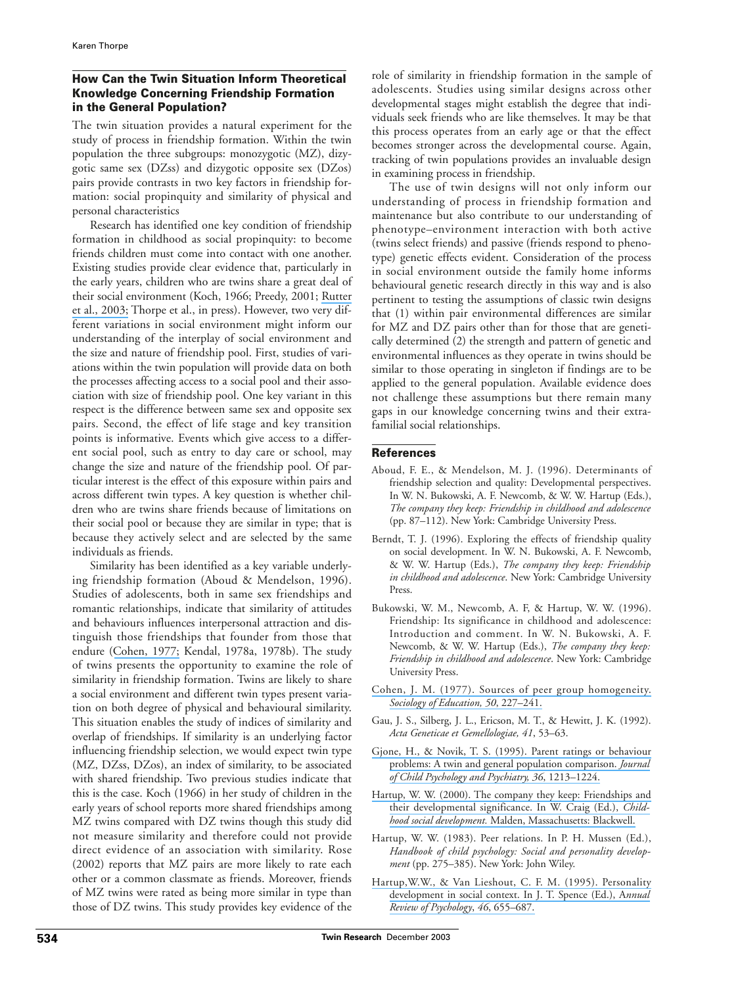# **How Can the Twin Situation Inform Theoretical Knowledge Concerning Friendship Formation in the General Population?**

The twin situation provides a natural experiment for the study of process in friendship formation. Within the twin population the three subgroups: monozygotic (MZ), dizygotic same sex (DZss) and dizygotic opposite sex (DZos) pairs provide contrasts in two key factors in friendship formation: social propinquity and similarity of physical and personal characteristics

Research has identified one key condition of friendship formation in childhood as social propinquity: to become friends children must come into contact with one another. Existing studies provide clear evidence that, particularly in the early years, children who are twins share a great deal of their social environment (Koch, 1966; Preedy, 2001; [Rutter](https://www.researchgate.net/publication/10857226_Twins_as_a_natural_experiment_to_study_the_causes_of_mild_language_delay_I_Design_Twin-singleton_differences_in_language_and_obstetric_risks?el=1_x_8&enrichId=rgreq-668d95b0f89fe0627be3b5df756f1d1d-XXX&enrichSource=Y292ZXJQYWdlOzg2OTI3OTk7QVM6OTkxMzI5MzcwODA4NDBAMTQwMDY0NjU0MjM2NQ==) [et al., 2003;](https://www.researchgate.net/publication/10857226_Twins_as_a_natural_experiment_to_study_the_causes_of_mild_language_delay_I_Design_Twin-singleton_differences_in_language_and_obstetric_risks?el=1_x_8&enrichId=rgreq-668d95b0f89fe0627be3b5df756f1d1d-XXX&enrichSource=Y292ZXJQYWdlOzg2OTI3OTk7QVM6OTkxMzI5MzcwODA4NDBAMTQwMDY0NjU0MjM2NQ==) Thorpe et al., in press). However, two very different variations in social environment might inform our understanding of the interplay of social environment and the size and nature of friendship pool. First, studies of variations within the twin population will provide data on both the processes affecting access to a social pool and their association with size of friendship pool. One key variant in this respect is the difference between same sex and opposite sex pairs. Second, the effect of life stage and key transition points is informative. Events which give access to a different social pool, such as entry to day care or school, may change the size and nature of the friendship pool. Of particular interest is the effect of this exposure within pairs and across different twin types. A key question is whether children who are twins share friends because of limitations on their social pool or because they are similar in type; that is because they actively select and are selected by the same individuals as friends.

Similarity has been identified as a key variable underlying friendship formation (Aboud & Mendelson, 1996). Studies of adolescents, both in same sex friendships and romantic relationships, indicate that similarity of attitudes and behaviours influences interpersonal attraction and distinguish those friendships that founder from those that endure ([Cohen, 1977;](https://www.researchgate.net/publication/247594402_Sources_of_Peer_Group_Homogeneity?el=1_x_8&enrichId=rgreq-668d95b0f89fe0627be3b5df756f1d1d-XXX&enrichSource=Y292ZXJQYWdlOzg2OTI3OTk7QVM6OTkxMzI5MzcwODA4NDBAMTQwMDY0NjU0MjM2NQ==) Kendal, 1978a, 1978b). The study of twins presents the opportunity to examine the role of similarity in friendship formation. Twins are likely to share a social environment and different twin types present variation on both degree of physical and behavioural similarity. This situation enables the study of indices of similarity and overlap of friendships. If similarity is an underlying factor influencing friendship selection, we would expect twin type (MZ, DZss, DZos), an index of similarity, to be associated with shared friendship. Two previous studies indicate that this is the case. Koch (1966) in her study of children in the early years of school reports more shared friendships among MZ twins compared with DZ twins though this study did not measure similarity and therefore could not provide direct evidence of an association with similarity. Rose (2002) reports that MZ pairs are more likely to rate each other or a common classmate as friends. Moreover, friends of MZ twins were rated as being more similar in type than those of DZ twins. This study provides key evidence of the

role of similarity in friendship formation in the sample of adolescents. Studies using similar designs across other developmental stages might establish the degree that individuals seek friends who are like themselves. It may be that this process operates from an early age or that the effect becomes stronger across the developmental course. Again, tracking of twin populations provides an invaluable design in examining process in friendship.

The use of twin designs will not only inform our understanding of process in friendship formation and maintenance but also contribute to our understanding of phenotype–environment interaction with both active (twins select friends) and passive (friends respond to phenotype) genetic effects evident. Consideration of the process in social environment outside the family home informs behavioural genetic research directly in this way and is also pertinent to testing the assumptions of classic twin designs that (1) within pair environmental differences are similar for MZ and DZ pairs other than for those that are genetically determined (2) the strength and pattern of genetic and environmental influences as they operate in twins should be similar to those operating in singleton if findings are to be applied to the general population. Available evidence does not challenge these assumptions but there remain many gaps in our knowledge concerning twins and their extrafamilial social relationships.

#### **References**

- Aboud, F. E., & Mendelson, M. J. (1996). Determinants of friendship selection and quality: Developmental perspectives. In W. N. Bukowski, A. F. Newcomb, & W. W. Hartup (Eds.), *The company they keep: Friendship in childhood and adolescence* (pp. 87–112). New York: Cambridge University Press.
- Berndt, T. J. (1996). Exploring the effects of friendship quality on social development. In W. N. Bukowski, A. F. Newcomb, & W. W. Hartup (Eds.), *The company they keep: Friendship in childhood and adolescence*. New York: Cambridge University Press.
- Bukowski, W. M., Newcomb, A. F, & Hartup, W. W. (1996). Friendship: Its significance in childhood and adolescence: Introduction and comment. In W. N. Bukowski, A. F. Newcomb, & W. W. Hartup (Eds.), *The company they keep: Friendship in childhood and adolescence*. New York: Cambridge University Press.
- [Cohen, J. M. \(1977\). Sources of peer group homogeneity.](https://www.researchgate.net/publication/247594402_Sources_of_Peer_Group_Homogeneity?el=1_x_8&enrichId=rgreq-668d95b0f89fe0627be3b5df756f1d1d-XXX&enrichSource=Y292ZXJQYWdlOzg2OTI3OTk7QVM6OTkxMzI5MzcwODA4NDBAMTQwMDY0NjU0MjM2NQ==) *[Sociology of Education, 50](https://www.researchgate.net/publication/247594402_Sources_of_Peer_Group_Homogeneity?el=1_x_8&enrichId=rgreq-668d95b0f89fe0627be3b5df756f1d1d-XXX&enrichSource=Y292ZXJQYWdlOzg2OTI3OTk7QVM6OTkxMzI5MzcwODA4NDBAMTQwMDY0NjU0MjM2NQ==)*, 227–241.
- Gau, J. S., Silberg, J. L., Ericson, M. T., & Hewitt, J. K. (1992). *Acta Geneticae et Gemellologiae, 41*, 53–63.
- [Gjone, H., & Novik, T. S. \(1995\). Parent ratings or behaviour](https://www.researchgate.net/publication/14358799_Parental_Ratings_of_Behaviour_Problems_A_Twin_and_General_Population_Comparison?el=1_x_8&enrichId=rgreq-668d95b0f89fe0627be3b5df756f1d1d-XXX&enrichSource=Y292ZXJQYWdlOzg2OTI3OTk7QVM6OTkxMzI5MzcwODA4NDBAMTQwMDY0NjU0MjM2NQ==) [problems: A twin and general population comparison.](https://www.researchgate.net/publication/14358799_Parental_Ratings_of_Behaviour_Problems_A_Twin_and_General_Population_Comparison?el=1_x_8&enrichId=rgreq-668d95b0f89fe0627be3b5df756f1d1d-XXX&enrichSource=Y292ZXJQYWdlOzg2OTI3OTk7QVM6OTkxMzI5MzcwODA4NDBAMTQwMDY0NjU0MjM2NQ==) *Journal [of Child Psychology and Psychiatry, 36](https://www.researchgate.net/publication/14358799_Parental_Ratings_of_Behaviour_Problems_A_Twin_and_General_Population_Comparison?el=1_x_8&enrichId=rgreq-668d95b0f89fe0627be3b5df756f1d1d-XXX&enrichSource=Y292ZXJQYWdlOzg2OTI3OTk7QVM6OTkxMzI5MzcwODA4NDBAMTQwMDY0NjU0MjM2NQ==)*, 1213–1224.
- [Hartup, W. W. \(2000\). The company they keep: Friendships and](https://www.researchgate.net/publication/14594375_The_Company_They_Keep_Friendships_and_Their_Developmental_Significance?el=1_x_8&enrichId=rgreq-668d95b0f89fe0627be3b5df756f1d1d-XXX&enrichSource=Y292ZXJQYWdlOzg2OTI3OTk7QVM6OTkxMzI5MzcwODA4NDBAMTQwMDY0NjU0MjM2NQ==) [their developmental significance. In W. Craig \(Ed.\),](https://www.researchgate.net/publication/14594375_The_Company_They_Keep_Friendships_and_Their_Developmental_Significance?el=1_x_8&enrichId=rgreq-668d95b0f89fe0627be3b5df756f1d1d-XXX&enrichSource=Y292ZXJQYWdlOzg2OTI3OTk7QVM6OTkxMzI5MzcwODA4NDBAMTQwMDY0NjU0MjM2NQ==) *Childhood social development.* [Malden, Massachusetts: Blackwell.](https://www.researchgate.net/publication/14594375_The_Company_They_Keep_Friendships_and_Their_Developmental_Significance?el=1_x_8&enrichId=rgreq-668d95b0f89fe0627be3b5df756f1d1d-XXX&enrichSource=Y292ZXJQYWdlOzg2OTI3OTk7QVM6OTkxMzI5MzcwODA4NDBAMTQwMDY0NjU0MjM2NQ==)
- Hartup, W. W. (1983). Peer relations. In P. H. Mussen (Ed.), *Handbook of child psychology: Social and personality development* (pp. 275–385). New York: John Wiley.
- [Hartup,W.W., & Van Lieshout, C. F. M. \(1995\). Personality](https://www.researchgate.net/publication/15325966_Personality_Development_in_Social_Context?el=1_x_8&enrichId=rgreq-668d95b0f89fe0627be3b5df756f1d1d-XXX&enrichSource=Y292ZXJQYWdlOzg2OTI3OTk7QVM6OTkxMzI5MzcwODA4NDBAMTQwMDY0NjU0MjM2NQ==) [development in social context. In J. T. Spence \(Ed.\), A](https://www.researchgate.net/publication/15325966_Personality_Development_in_Social_Context?el=1_x_8&enrichId=rgreq-668d95b0f89fe0627be3b5df756f1d1d-XXX&enrichSource=Y292ZXJQYWdlOzg2OTI3OTk7QVM6OTkxMzI5MzcwODA4NDBAMTQwMDY0NjU0MjM2NQ==)*nnual [Review of Psychology](https://www.researchgate.net/publication/15325966_Personality_Development_in_Social_Context?el=1_x_8&enrichId=rgreq-668d95b0f89fe0627be3b5df756f1d1d-XXX&enrichSource=Y292ZXJQYWdlOzg2OTI3OTk7QVM6OTkxMzI5MzcwODA4NDBAMTQwMDY0NjU0MjM2NQ==)*, *46*, 655–687.